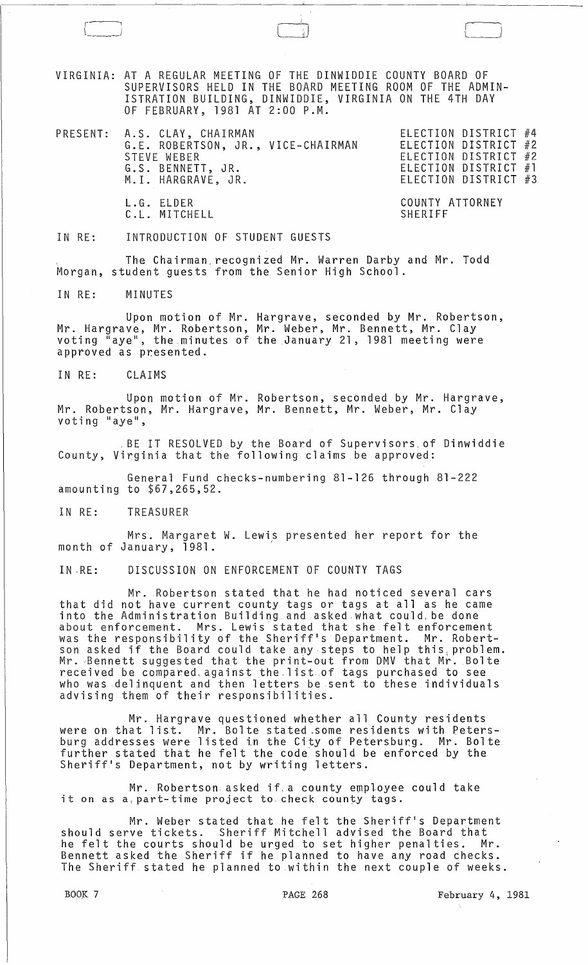VIRGINIA: AT A REGULAR MEETING OF THE DINWIDDIE COUNTY BOARD OF SUPERVISORS HELD IN THE BOARD MEETING ROOM OF THE ADMIN-ISTRATION BUILDING, DINWIDDIE, VIRGINIA ON THE 4TH DAY OF FEBRUARY, 1981 AT 2:00 P.M.

PRESENT: A.S. CLAY, CHAIRMAN ELECTION DISTRICT #4 G.E. ROBERTSON, JR., VICE-CHAIRMAN STEVE WEBER G.S. BENNETT, JR. M. I. HARGRAVE, JR.

ELECTION DISTRICT #2 ELECTION DISTRICT #2 ELECTION DISTRICT #1 ELECTION DISTRICT #3

 $\Box$ 

COUNTY ATTORNEY SHERIFF

IN RE: INTRODUCTION OF STUDENT GUESTS

L.G. ELDER C. L. MITCHELL

The Chairman recognized Mr. Warren Darby and Mr. Todd Morgan, student guests from the Senior High School.

IN RE: MINUTES

r~-'  $\boxed{\phantom{1}}$ 

Upon motion of Mr. Hargrave, seconded by Mr. Robertson, Mr. Hargrave, Mr. Robertson, Mr. Weber, Mr. Bennett, Mr. Clay voting "aye", the .minutes of the January 21, 1981 meeting were approved as presented.

IN RE: CLAIMS

Upon motion of Mr. Robertson, seconded by Mr. Hargrave, Mr. Robertson, Mr. Hargrave, Mr. Bennett, Mr. Weber, Mr. Clay voting "aye",

. BE IT RESOLVED by the Board of Supervisors,of Dinwiddie County, Virginia that the following claims be approved:

General Fund checks-numbering 81-126 through 81-222 amounting to \$67,265,52.

IN RE: TREASURER

Mrs. Margaret W. Lewis presented her report for the month of January, 1981.

IN ·RE: DISCUSSION ON ENFORCEMENT OF COUNTY TAGS

Mr. Robertson stated that he had noticed several cars that did not have current county tags or tags at all as he came into the Administration Building and asked what could, be done about enforcement. Mrs. Lewis stated that she felt enforcement was the responsibility of the Sheriff's Department. Mr. Robertson asked if the Board could take any steps to help this: problem. Mr. ~Bennett suggested that the print-out from DMV that Mr. Bolte received be compared, against the list of tags purchased to see who was delinquent and then letters be sent to these individuals advising them of their responsibilities.

Mr. Hargrave questioned whether all County residents were on that list. Mr. Bolte stated ,some residents with Petersburg addresses were listed in the City of Petersburg. Mr. Bolte burg duaresses were risted in the oray of receisburg. This bord Sheriff's Department, not by writing letters.

Mr. Robertson asked if, a county employee could take it on as a part-time project to check county tags.

Mr. Weber stated that he felt the Sheriff's Department should serve tickets. Sheriff Mitchell advised the Board that he felt the courts should be urged to set higher penalties. Mr. Bennett asked the Sheriff if he planned to have any road checks. The Sheriff stated he planned to within the next couple of weeks.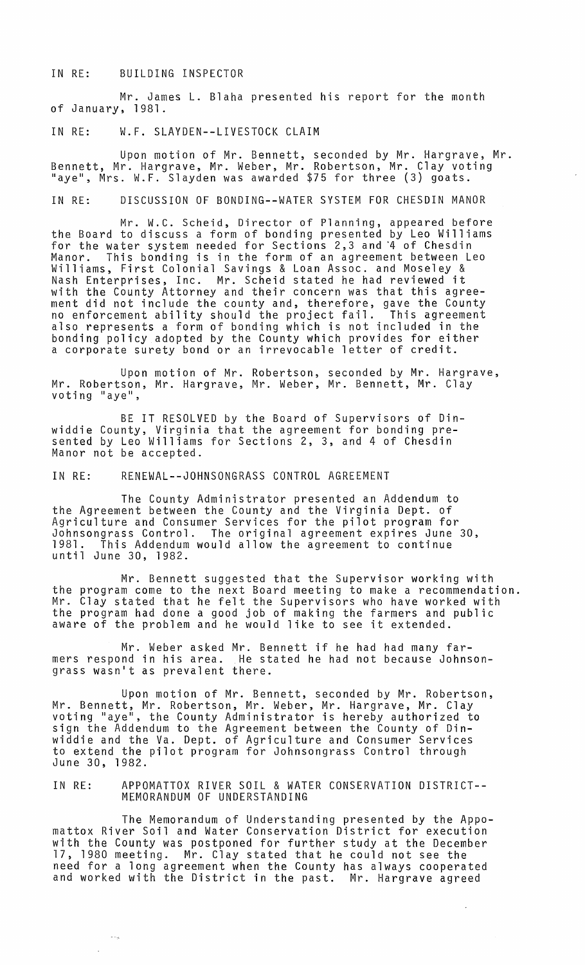## IN RE: BUILDING INSPECTOR

Mr. James L. Blaha presented his report for the month of January, 1981.

## IN RE: W.F. SLAYDEN--LIVESTOCK CLAIM

Upon motion of Mr. Bennett, seconded by Mr. Hargrave, Mr. Bennett, Mr. Hargrave, Mr. Weber, Mr. Robertson, Mr. Clay voting enneed, m. nargrave, m. weber, m. woberdson, m. oray vod<br>"aye", Mrs. W.F. Slayden was awarded \$75 for three (3) goats.

IN RE: DISCUSSION OF BONDING--WATER SYSTEM FOR CHESDIN MANOR

Mr. W.C. Scheid, Director of Planning, appeared before the Board to discuss a form of bonding presented by Leo Williams for the water system needed for Sections 2,3 and '4 of Chesdin Manor. This bonding is in the form of an agreement between Leo Williams, First Colonial Savings & Loan Assoc. and Moseley & Nash Enterprises, Inc. Mr. Scheid stated he had reviewed it with the County Attorney and their concern was that this agreement did not include the county and, therefore, gave the County no enforcement ability should the project fail. This agreement also represents a form of bonding which is not included in the bonding policy adopted by the County which provides for either a corporate surety bond or an irrevocable letter of credit.

Upon motion of Mr. Robertson, seconded by Mr. Hargrave, Mr. Robertson, Mr. Hargrave, Mr. Weber, Mr. Bennett, Mr. Clay<br>voting "aye",

BE IT RESOLVED by the Board of Supervisors of Dinwiddie County, Virginia that the agreement for bonding pre- sented by Leo Williams for Sections 2, 3, and 4 of Chesdin Manor not be accepted.

IN RE: RENEWAL--JOHNSONGRASS CONTROL AGREEMENT

The County Administrator presented an Addendum to the Agreement between the County and the Virginia Dept. of Agriculture and Consumer Services for the pilot program for Johnsongrass Control. The original agreement expires June 30, This Addendum would allow the agreement to continue until June 30, 1982.

Mr. Bennett suggested that the Supervisor working with the program come to the next Board meeting to make a recommendation. Mr. Clay stated that he felt the Supervisors who have worked with the program had done a good job of making the farmers and public aware of the problem and he would like to see it extended.

Mr. Weber asked Mr. Bennett if he had had many farmers respond in his area. He stated he had not because Johnsongrass wasn't as prevalent there.

Upon motion of Mr. Bennett, seconded by Mr. Robertson, Mr. Bennett, Mr. Robertson, Mr. Weber, Mr. Hargrave, Mr. Clay ru: Bennett, hi: Robertson, hi: Weber, hi: Hargrave, hi: Clay<br>voting "aye", the County Administrator is hereby authorized to sign the Addendum to the Agreement between the County of Dinwiddie and the Va. Dept. of Agriculture and Consumer *Services*  to extend the pilot program for Johnsongrass Control through June 30, 1982.

IN RE: APPOMATTOX RIVER SOIL & WATER CONSERVATION DISTRICT-- MEMORANDUM OF UNDERSTANDING

The Memorandum of Understanding presented by the Appomattox River Soil and Water Conservation District for execution with the County was postponed for further study at the December 17, 1980 meeting. Mr. Clay stated that he could not see the need for a long agreement when the County has always cooperated and worked with the District in the past. Mr. Hargrave agreed

 $\sim \omega_{\rm B}$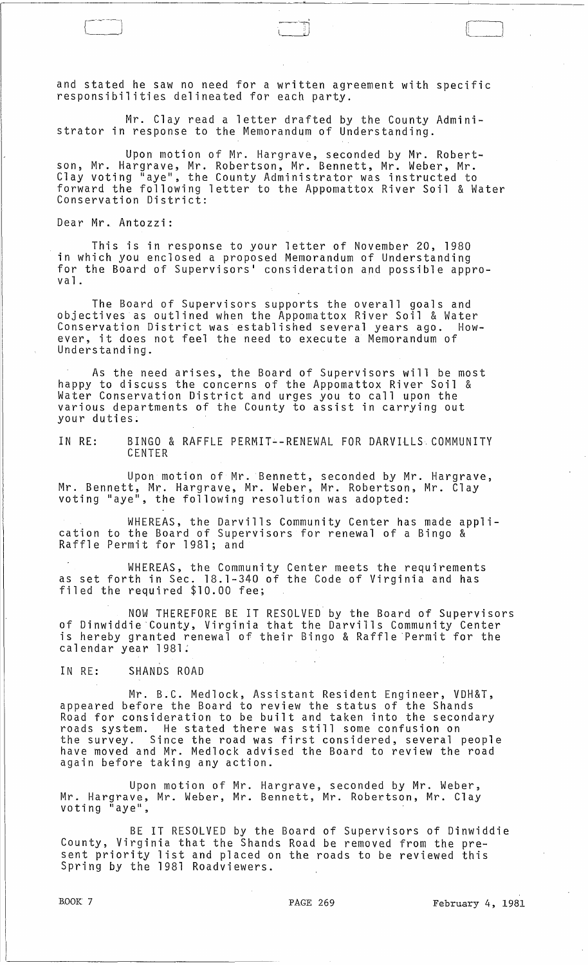and stated he saw no need for a written agreement with specific responsibilities delineated for each party.

Mr. Clay read a letter drafted by the County Administrator in response to the Memorandum of Understanding.

Upon motion of Mr. Hargrave, seconded by Mr. Robertson, Mr. Hargrave, Mr. Robertson, Mr. Bennett, Mr. Weber, Mr. Clay voting "aye", the County Administrator was instructed to forward the following letter to the Appomattox River Soil & Water Conservation District:

Dear Mr. Antozzi:

This is in response to your letter of November 20, 1980 in which you enclosed a proposed Memorandum of Understanding for the Board of Supervisors' consideration and possible appro $v a 1$ .

The Board of Supervisors supports the overall goals and objectives as outlined when the Appomattox River Soil & Water Conservation District was established several years ago. However, it does not feel the need to execute a Memorandum of Understanding.

As the need arises, the Board of Supervisors will be most happy to discuss the concerns of the Appomattox River Soil & Water Conservation District and urges you to call upon the various departments of the County to assist in carrying out your duties.

IN RE: BINGO & RAFFLE PERMIT--RENEWAL FOR DARVIlLS COMMUNITY CENTER

Upon motion of Mr. Bennett, seconded by Mr. Hargrave, Mr. Bennett, Mr. Hargrave, Mr. Weber, Mr. Robertson, Mr. Clay voting "aye", the following resolution was adopted:

WHEREAS, the Darvills Community Center has made application to the Board of Supervisors for renewal of a Bingo & Raffle Permit for 1981; and

WHEREAS, the Community Center meets the requirements as set forth in Sec. 18.1-340 of the Code of Virginia and has filed the required \$10.00 fee;

NOW THEREFORE BE IT RESOLVED by the Board of Supervisors of Dinwiddie'County, Virginia that the Darvills Community Center is hereby granted renewal of their Bingo & Raffle Permit for the calendar year 1981:

IN RE: SHANDS ROAD

Mr. B.C. Medlock, Assistant Resident Engineer, VDH&T, appeared before the Board to review the status of the Shands Road for consideration to be built and taken into the secondary roads system. He stated there was still some confusion on the survey. Since the road was first considered, several people have moved and Mr. Medlock advised the Board to review the road again before taking any action.

Upon motion of Mr. Hargrave, seconded by Mr. Weber, Mr. Hargrave, Mr. Weber, Mr. Bennett, Mr. Robertson, Mr. Clay<br>voting "aye",

BE IT RESOLVED by the Board of Supervisors of Dinwiddie County, Virginia that the Shands Road be removed from the present priority list and placed on the roads to be reviewed this Spring by the 1981 Roadviewers.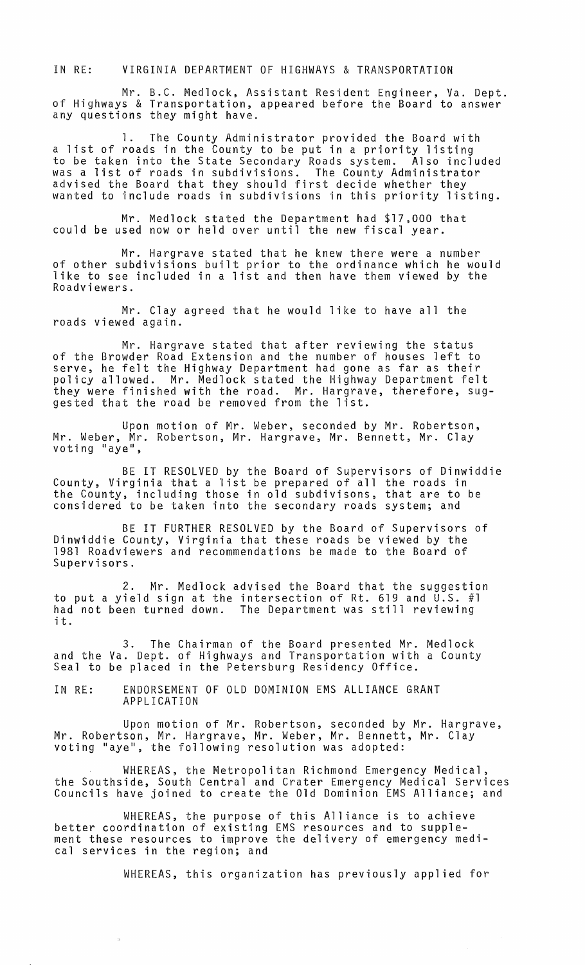IN RE: VIRGINIA DEPARTMENT OF HIGHWAYS & TRANSPORTATION

Mr. B.C. Medlock, Assistant Resident Engineer, Va. Dept. of Highways & Transportation, appeared before the Board to answer any questions they might have.

1. The County Administrator provided the Board with a list of roads in the County to be put in a priority listing to be taken into the State Secondary Roads system. Also included was a list of roads in subdivisions. The County Administrator advised the Board that they should first decide whether they wanted to include roads in subdivisions in this priority listing.

Mr. Medlock stated the Department had \$17,000 that could be used now or held over until the new fiscal year.

Mr. Hargrave stated that he knew there were a number of other subdivisions built prior to the ordinance which he would like to see included in a list and then have them viewed by the Roadviewers.

Mr. Clay agreed that he would like to have all the roads viewed again.

Mr. Hargrave stated that after reviewing the status of the Browder Road Extension and the number of houses left to serve, he felt the Highway Department had gone as far as their policy allowed. Mr. Medlock stated the Highway Department felt they were finished with the road. Mr. Hargrave, therefore, suggested that the road be removed from the list.

Upon motion of Mr. Weber, seconded by Mr. Robertson, Mr. Weber, Mr. Robertson, Mr. Hargrave, Mr. Bennett, Mr. Clay<sup>'</sup><br>voting "aye",

BE IT RESOLVED by the Board of Supervisors of Dinwiddie County, Virginia that a list be prepared of all the roads in the County, includjng those in old subdivisons, that are to be considered to be taken into the secondary roads system; and

BE IT FURTHER RESOLVED by the Board of Supervisors of Dinwiddie County, Virginia that these roads be viewed by the 1981 Roadviewers and recommendations be made to the Board of Supervisors.

2. Mr. Medlock advised the Board that the suggestion to put a yield sign at the intersection of Rt. 619 and U.S. #1 had not been turned down. The Department was still reviewing naa<br>it.

3. The Chairman of the Board presented Mr. Medlock and the Va. Dept. of Highways and Transportation with a County<br>Seal to be placed in the Petersburg Residency Office.

IN RE: ENDORSEMENT OF OLD DOMINION EMS ALLIANCE GRANT APPLICATION

Upon motion of Mr. Robertson, seconded by Mr. Hargrave, Mr. Robertson, Mr. Hargrave, Mr. Weber, Mr. Bennett, Mr. Clay<br>voting "aye", the following resolution was adopted:

WHEREAS, the Metropolitan Richmond Emergency Medical, the Southside, South Central and Crater Emergency Medical Services Councils have joined to create the Old Dominion EMS Alliance; and

WHEREAS, the purpose of this Alliance is to achieve better coordination of existing EMS resources and to supplement these resources to improve the delivery of emergency medical services in the region; and

WHEREAS, this organization has previously applied for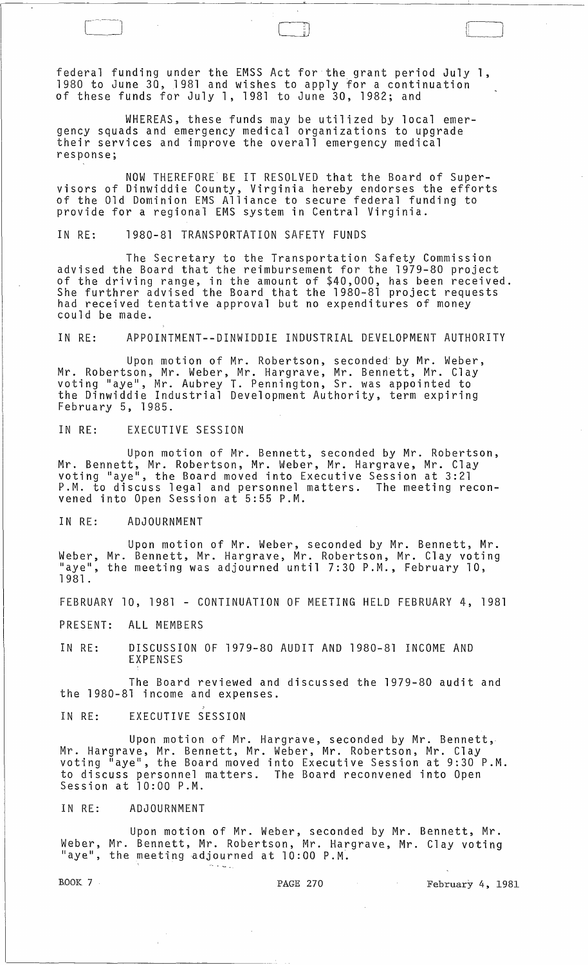federal funding under the EMSS Act for the grant period July 1, 1980 to June 30, 1981 and wishes to apply for a continuation of these funds for July 1, 1981 to June 30, 1982; and

WHEREAS, these funds may be utilized by local emergency squads and emergency medical organizations to upgrade their services and improve the overall emergency medical response;

NOW THEREFORE BE IT RESOLVED that the Board of Supervisors of Dinwiddie County, Virginia hereby endorses the efforts of the Old Dominion EMS Alliance to secure federal funding to provide for a regional EMS system in Central Virginia.

IN RE: 1980-81 TRANSPORTATION SAFETY FUNDS

The Secretary to the Transportation Safety Commission advised the Board that the reimbursement for the 1979-80 project of the driving range, in the amount of \$40,000, has been received. She furthrer advised the Board that the 1980-81 project requests had received tentative approval but no expenditures of money could be made.

IN RE: APPOINTMENT--DINWIDDIE INDUSTRIAL DEVELOPMENT AUTHORITY

Upon motion of Mr. Robertson, seconded- by Mr. Weber, Mr. Robertson, Mr. Weber, Mr. Hargrave, Mr. Bennett, Mr. Clay voting "aye", Mr. Aubrey T. Pennington, Sr. was appointed to the Dinwiddie Industrial Development Authority, term expiring February 5, 1985.

IN RE: EXECUTIVE SESSION

Upon motion of Mr. Bennett, seconded by Mr. Robertson, Mr. Bennett, Mr. Robertson, Mr. Weber, Mr. Hargrave, Mr. Clay voting "aye", the Board moved into Executive Session at 3:21 P.M. to discuss legal and personnel matters. The meeting reconvened into Open Session at 5:55 P.M.

IN RE: ADJOURNMENT

Upon motion of Mr. Weber, seconded by Mr. Bennett, Mr. Weber, Mr. Bennett, Mr. Hargrave, Mr. Robertson, Mr. Clay voting "aye", the meeting was adjourned until 7:30 P.M., February 10, 1981 .

FEBRUARY 10, 1981 - CONTINUATION OF MEETING HELD FEBRUARY 4, 1981

PRESENT: ALL MEMBERS

IN RE: DISCUSSION OF 1979-80 AUDIT AND 1980-81 INCOME AND EXPENSES

The Board reviewed and discussed the 1979-80 audit and the 1980-81 income and expenses.

IN RE: EXECUTIVE SESSION

Upon motion of Mr. Hargrave, seconded by Mr. Bennett, Mr. Hargrave, Mr. Bennett, Mr. Weber, Mr. Robertson, Mr. Clay voting "aye", the Board moved into Executive Session at 9:30 P.M. to discuss personnel matters. The Board reconvened into Open Session at 10:00 P.M.

IN RE: ADJOURNMENT

Upon motion of Mr. Weber, seconded by Mr. Bennett, Mr. Weber, Mr. Bennett, Mr. Robertson, Mr. Hargrave, Mr. Clay voting "aye", the meeting adjourned at  $10:00$  P.M.